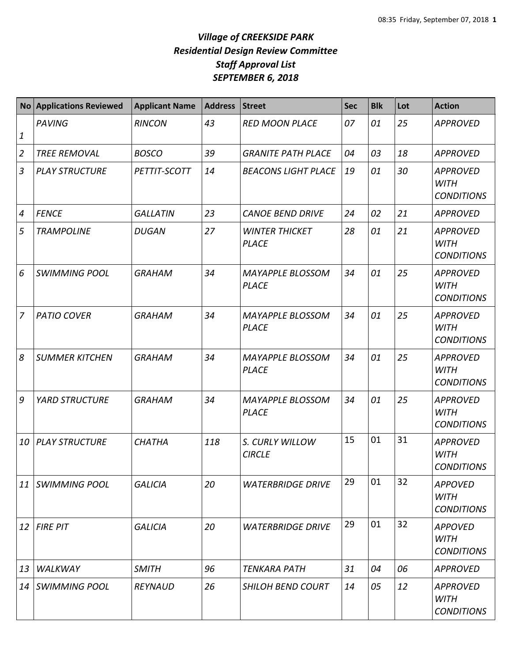|                | No Applications Reviewed | <b>Applicant Name</b> | <b>Address</b> | <b>Street</b>                           | <b>Sec</b> | <b>Blk</b> | Lot | <b>Action</b>                                       |
|----------------|--------------------------|-----------------------|----------------|-----------------------------------------|------------|------------|-----|-----------------------------------------------------|
| $\mathbf 1$    | <b>PAVING</b>            | <b>RINCON</b>         | 43             | <b>RED MOON PLACE</b>                   | 07         | 01         | 25  | <b>APPROVED</b>                                     |
| $\overline{2}$ | <b>TREE REMOVAL</b>      | <b>BOSCO</b>          | 39             | <b>GRANITE PATH PLACE</b>               | 04         | 03         | 18  | <b>APPROVED</b>                                     |
| $\mathfrak{Z}$ | <b>PLAY STRUCTURE</b>    | PETTIT-SCOTT          | 14             | <b>BEACONS LIGHT PLACE</b>              | 19         | 01         | 30  | <b>APPROVED</b><br><b>WITH</b><br><b>CONDITIONS</b> |
| $\overline{4}$ | <b>FENCE</b>             | <b>GALLATIN</b>       | 23             | <b>CANOE BEND DRIVE</b>                 | 24         | 02         | 21  | <b>APPROVED</b>                                     |
| 5              | <b>TRAMPOLINE</b>        | <b>DUGAN</b>          | 27             | <b>WINTER THICKET</b><br><b>PLACE</b>   | 28         | 01         | 21  | <b>APPROVED</b><br><b>WITH</b><br><b>CONDITIONS</b> |
| 6              | <b>SWIMMING POOL</b>     | <b>GRAHAM</b>         | 34             | <b>MAYAPPLE BLOSSOM</b><br><b>PLACE</b> | 34         | 01         | 25  | <b>APPROVED</b><br><b>WITH</b><br><b>CONDITIONS</b> |
| $\overline{7}$ | <b>PATIO COVER</b>       | <b>GRAHAM</b>         | 34             | <b>MAYAPPLE BLOSSOM</b><br><b>PLACE</b> | 34         | 01         | 25  | <b>APPROVED</b><br><b>WITH</b><br><b>CONDITIONS</b> |
| $\delta$       | <b>SUMMER KITCHEN</b>    | <b>GRAHAM</b>         | 34             | <b>MAYAPPLE BLOSSOM</b><br><b>PLACE</b> | 34         | 01         | 25  | <b>APPROVED</b><br><b>WITH</b><br><b>CONDITIONS</b> |
| 9              | <b>YARD STRUCTURE</b>    | <b>GRAHAM</b>         | 34             | <b>MAYAPPLE BLOSSOM</b><br><b>PLACE</b> | 34         | 01         | 25  | <b>APPROVED</b><br><b>WITH</b><br><b>CONDITIONS</b> |
| 10             | <b>PLAY STRUCTURE</b>    | <b>CHATHA</b>         | 118            | S. CURLY WILLOW<br><b>CIRCLE</b>        | 15         | 01         | 31  | <b>APPROVED</b><br><b>WITH</b><br><b>CONDITIONS</b> |
| 11             | <b>SWIMMING POOL</b>     | <b>GALICIA</b>        | 20             | <b>WATERBRIDGE DRIVE</b>                | 29         | 01         | 32  | <b>APPOVED</b><br><b>WITH</b><br><b>CONDITIONS</b>  |
| 12             | <b>FIRE PIT</b>          | <b>GALICIA</b>        | 20             | <b>WATERBRIDGE DRIVE</b>                | 29         | 01         | 32  | <b>APPOVED</b><br><b>WITH</b><br><b>CONDITIONS</b>  |
| 13             | WALKWAY                  | <b>SMITH</b>          | 96             | <b>TENKARA PATH</b>                     | 31         | 04         | 06  | <b>APPROVED</b>                                     |
| 14             | <b>SWIMMING POOL</b>     | <b>REYNAUD</b>        | 26             | <b>SHILOH BEND COURT</b>                | 14         | 05         | 12  | <b>APPROVED</b><br><b>WITH</b><br><b>CONDITIONS</b> |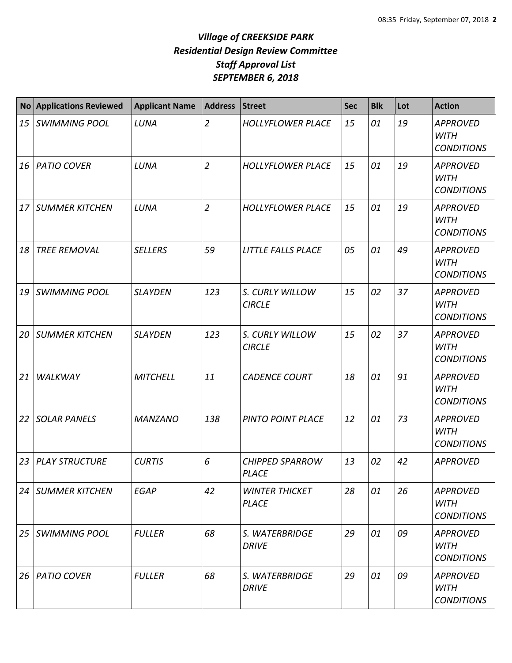|    | No Applications Reviewed | <b>Applicant Name</b> | <b>Address</b> | <b>Street</b>                         | <b>Sec</b> | <b>Blk</b> | Lot | <b>Action</b>                                       |
|----|--------------------------|-----------------------|----------------|---------------------------------------|------------|------------|-----|-----------------------------------------------------|
| 15 | <b>SWIMMING POOL</b>     | LUNA                  | $\overline{2}$ | <b>HOLLYFLOWER PLACE</b>              | 15         | 01         | 19  | <b>APPROVED</b><br><b>WITH</b><br><b>CONDITIONS</b> |
| 16 | <b>PATIO COVER</b>       | LUNA                  | $\overline{2}$ | <b>HOLLYFLOWER PLACE</b>              | 15         | 01         | 19  | <b>APPROVED</b><br><b>WITH</b><br><b>CONDITIONS</b> |
| 17 | <b>SUMMER KITCHEN</b>    | LUNA                  | $\overline{2}$ | <b>HOLLYFLOWER PLACE</b>              | 15         | 01         | 19  | <b>APPROVED</b><br><b>WITH</b><br><b>CONDITIONS</b> |
| 18 | <b>TREE REMOVAL</b>      | <b>SELLERS</b>        | 59             | LITTLE FALLS PLACE                    | 05         | 01         | 49  | <b>APPROVED</b><br><b>WITH</b><br><b>CONDITIONS</b> |
| 19 | <b>SWIMMING POOL</b>     | <b>SLAYDEN</b>        | 123            | S. CURLY WILLOW<br><b>CIRCLE</b>      | 15         | 02         | 37  | <b>APPROVED</b><br><b>WITH</b><br><b>CONDITIONS</b> |
| 20 | <b>SUMMER KITCHEN</b>    | <b>SLAYDEN</b>        | 123            | S. CURLY WILLOW<br><b>CIRCLE</b>      | 15         | 02         | 37  | <b>APPROVED</b><br><b>WITH</b><br><b>CONDITIONS</b> |
| 21 | WALKWAY                  | <b>MITCHELL</b>       | 11             | <b>CADENCE COURT</b>                  | 18         | 01         | 91  | <b>APPROVED</b><br><b>WITH</b><br><b>CONDITIONS</b> |
| 22 | <b>SOLAR PANELS</b>      | <b>MANZANO</b>        | 138            | PINTO POINT PLACE                     | 12         | 01         | 73  | <b>APPROVED</b><br><b>WITH</b><br><b>CONDITIONS</b> |
| 23 | PLAY STRUCTURE           | <b>CURTIS</b>         | 6              | <b>CHIPPED SPARROW</b><br>PLACE       | 13         | 02         | 42  | <b>APPROVED</b>                                     |
|    | 24   SUMMER KITCHEN      | <b>EGAP</b>           | 42             | <b>WINTER THICKET</b><br><b>PLACE</b> | 28         | 01         | 26  | <b>APPROVED</b><br><b>WITH</b><br><b>CONDITIONS</b> |
| 25 | <b>SWIMMING POOL</b>     | <b>FULLER</b>         | 68             | S. WATERBRIDGE<br><b>DRIVE</b>        | 29         | 01         | 09  | <b>APPROVED</b><br>WITH<br><b>CONDITIONS</b>        |
|    | 26   PATIO COVER         | <b>FULLER</b>         | 68             | S. WATERBRIDGE<br><b>DRIVE</b>        | 29         | 01         | 09  | <b>APPROVED</b><br><b>WITH</b><br><b>CONDITIONS</b> |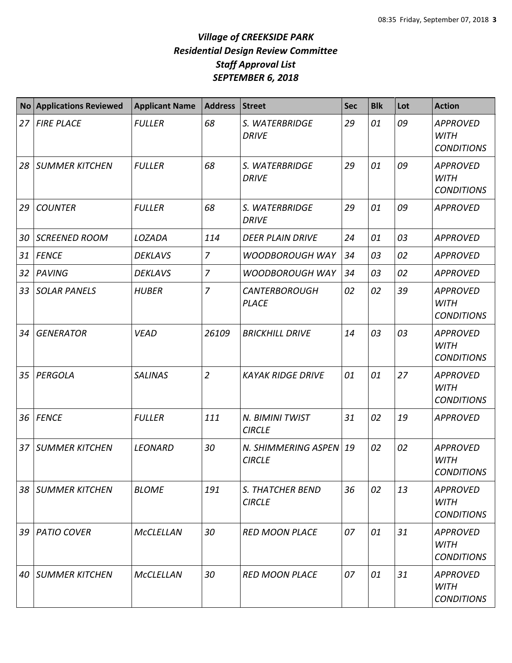| <b>No</b> | <b>Applications Reviewed</b> | <b>Applicant Name</b> | <b>Address</b> | <b>Street</b>                        | <b>Sec</b> | <b>Blk</b> | Lot | <b>Action</b>                                       |
|-----------|------------------------------|-----------------------|----------------|--------------------------------------|------------|------------|-----|-----------------------------------------------------|
| 27        | <b>FIRE PLACE</b>            | <b>FULLER</b>         | 68             | S. WATERBRIDGE<br><b>DRIVE</b>       | 29         | 01         | 09  | <b>APPROVED</b><br><b>WITH</b><br><b>CONDITIONS</b> |
| 28        | <b>SUMMER KITCHEN</b>        | <b>FULLER</b>         | 68             | S. WATERBRIDGE<br><b>DRIVE</b>       | 29         | 01         | 09  | <b>APPROVED</b><br><b>WITH</b><br><b>CONDITIONS</b> |
| 29        | <b>COUNTER</b>               | <b>FULLER</b>         | 68             | S. WATERBRIDGE<br><b>DRIVE</b>       | 29         | 01         | 09  | <b>APPROVED</b>                                     |
| 30        | <b>SCREENED ROOM</b>         | LOZADA                | 114            | <b>DEER PLAIN DRIVE</b>              | 24         | 01         | 03  | <b>APPROVED</b>                                     |
| 31        | <b>FENCE</b>                 | <b>DEKLAVS</b>        | $\overline{7}$ | WOODBOROUGH WAY                      | 34         | 03         | 02  | <b>APPROVED</b>                                     |
| 32        | PAVING                       | <b>DEKLAVS</b>        | $\overline{7}$ | <b>WOODBOROUGH WAY</b>               | 34         | 03         | 02  | <b>APPROVED</b>                                     |
| 33        | <b>SOLAR PANELS</b>          | <b>HUBER</b>          | $\overline{7}$ | <b>CANTERBOROUGH</b><br><b>PLACE</b> | 02         | 02         | 39  | <b>APPROVED</b><br><b>WITH</b><br><b>CONDITIONS</b> |
| 34        | <b>GENERATOR</b>             | <b>VEAD</b>           | 26109          | <b>BRICKHILL DRIVE</b>               | 14         | 03         | 03  | <b>APPROVED</b><br><b>WITH</b><br><b>CONDITIONS</b> |
| 35        | PERGOLA                      | <b>SALINAS</b>        | $\overline{2}$ | <b>KAYAK RIDGE DRIVE</b>             | 01         | 01         | 27  | <b>APPROVED</b><br><b>WITH</b><br><b>CONDITIONS</b> |
| 36        | <b>FENCE</b>                 | <b>FULLER</b>         | 111            | N. BIMINI TWIST<br><b>CIRCLE</b>     | 31         | 02         | 19  | <b>APPROVED</b>                                     |
| 37        | <b>SUMMER KITCHEN</b>        | <b>LEONARD</b>        | 30             | N. SHIMMERING ASPEN<br><b>CIRCLE</b> | 19         | 02         | 02  | <b>APPROVED</b><br><b>WITH</b><br><b>CONDITIONS</b> |
| 38        | <b>SUMMER KITCHEN</b>        | <b>BLOME</b>          | 191            | S. THATCHER BEND<br><b>CIRCLE</b>    | 36         | 02         | 13  | <b>APPROVED</b><br><b>WITH</b><br><b>CONDITIONS</b> |
| 39        | <b>PATIO COVER</b>           | McCLELLAN             | 30             | <b>RED MOON PLACE</b>                | 07         | 01         | 31  | <b>APPROVED</b><br>WITH<br><b>CONDITIONS</b>        |
| 40        | <b>SUMMER KITCHEN</b>        | <b>McCLELLAN</b>      | 30             | <b>RED MOON PLACE</b>                | 07         | 01         | 31  | <b>APPROVED</b><br><b>WITH</b><br><b>CONDITIONS</b> |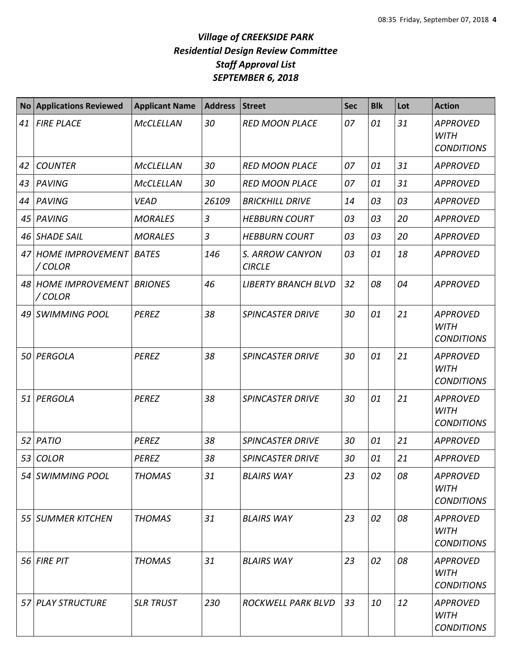| <b>No</b> | <b>Applications Reviewed</b>              | <b>Applicant Name</b> | <b>Address</b> | <b>Street</b>                    | <b>Sec</b> | <b>Blk</b> | Lot | <b>Action</b>                                       |
|-----------|-------------------------------------------|-----------------------|----------------|----------------------------------|------------|------------|-----|-----------------------------------------------------|
| 41        | <b>FIRE PLACE</b>                         | <b>McCLELLAN</b>      | 30             | <b>RED MOON PLACE</b>            | 07         | 01         | 31  | <b>APPROVED</b><br><b>WITH</b><br><b>CONDITIONS</b> |
| 42        | <b>COUNTER</b>                            | <b>McCLELLAN</b>      | 30             | <b>RED MOON PLACE</b>            | 07         | 01         | 31  | <b>APPROVED</b>                                     |
| 43        | PAVING                                    | <b>McCLELLAN</b>      | 30             | <b>RED MOON PLACE</b>            | 07         | 01         | 31  | <b>APPROVED</b>                                     |
| 44        | PAVING                                    | <b>VEAD</b>           | 26109          | <b>BRICKHILL DRIVE</b>           | 14         | 03         | 03  | <b>APPROVED</b>                                     |
| 45        | PAVING                                    | <b>MORALES</b>        | $\overline{3}$ | <b>HEBBURN COURT</b>             | 03         | 03         | 20  | <b>APPROVED</b>                                     |
| 46        | <b>SHADE SAIL</b>                         | <b>MORALES</b>        | $\overline{3}$ | <b>HEBBURN COURT</b>             | 03         | 03         | 20  | <b>APPROVED</b>                                     |
| 47        | <b>HOME IMPROVEMENT   BATES</b><br>/COLOR |                       | 146            | S. ARROW CANYON<br><b>CIRCLE</b> | 03         | 01         | 18  | <b>APPROVED</b>                                     |
|           | 48 HOME IMPROVEMENT BRIONES<br>/COLOR     |                       | 46             | <b>LIBERTY BRANCH BLVD</b>       | 32         | 08         | 04  | <b>APPROVED</b>                                     |
| 49        | SWIMMING POOL                             | <b>PEREZ</b>          | 38             | <b>SPINCASTER DRIVE</b>          | 30         | 01         | 21  | <b>APPROVED</b><br><b>WITH</b><br><b>CONDITIONS</b> |
| 50        | PERGOLA                                   | <b>PEREZ</b>          | 38             | <b>SPINCASTER DRIVE</b>          | 30         | 01         | 21  | <b>APPROVED</b><br><b>WITH</b><br><b>CONDITIONS</b> |
| 51        | PERGOLA                                   | <b>PEREZ</b>          | 38             | <b>SPINCASTER DRIVE</b>          | 30         | 01         | 21  | <b>APPROVED</b><br><b>WITH</b><br><b>CONDITIONS</b> |
| 52        | PATIO                                     | <b>PEREZ</b>          | 38             | <b>SPINCASTER DRIVE</b>          | 30         | 01         | 21  | <b>APPROVED</b>                                     |
| 53        | <b>COLOR</b>                              | <b>PEREZ</b>          | 38             | <b>SPINCASTER DRIVE</b>          | 30         | 01         | 21  | <b>APPROVED</b>                                     |
|           | 54 SWIMMING POOL                          | <b>THOMAS</b>         | 31             | <b>BLAIRS WAY</b>                | 23         | 02         | 08  | <b>APPROVED</b><br><b>WITH</b><br><b>CONDITIONS</b> |
|           | 55 SUMMER KITCHEN                         | <b>THOMAS</b>         | 31             | <b>BLAIRS WAY</b>                | 23         | 02         | 08  | <b>APPROVED</b><br><b>WITH</b><br><b>CONDITIONS</b> |
|           | 56 FIRE PIT                               | <b>THOMAS</b>         | 31             | <b>BLAIRS WAY</b>                | 23         | 02         | 08  | <b>APPROVED</b><br><b>WITH</b><br><b>CONDITIONS</b> |
|           | 57 PLAY STRUCTURE                         | <b>SLR TRUST</b>      | 230            | ROCKWELL PARK BLVD               | 33         | 10         | 12  | <b>APPROVED</b><br><b>WITH</b><br><b>CONDITIONS</b> |